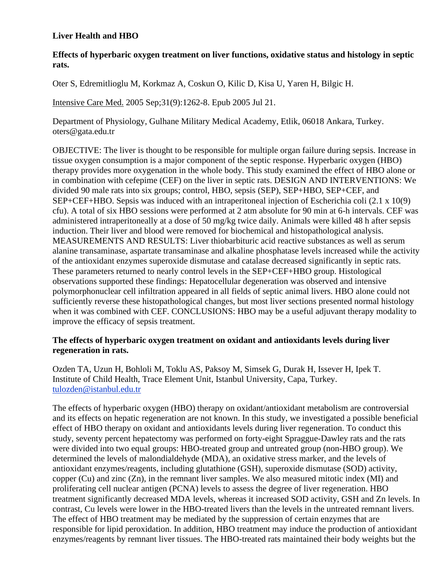# **Liver Health and HBO**

# **Effects of hyperbaric oxygen treatment on liver functions, oxidative status and histology in septic rats.**

[Oter S,](http://www.ncbi.nlm.nih.gov/entrez/query.fcgi?db=pubmed&cmd=Search&itool=pubmed_AbstractPlus&term=%22Oter+S%22%5BAuthor%5D) [Edremitlioglu M,](http://www.ncbi.nlm.nih.gov/entrez/query.fcgi?db=pubmed&cmd=Search&itool=pubmed_AbstractPlus&term=%22Edremitlioglu+M%22%5BAuthor%5D) [Korkmaz A,](http://www.ncbi.nlm.nih.gov/entrez/query.fcgi?db=pubmed&cmd=Search&itool=pubmed_AbstractPlus&term=%22Korkmaz+A%22%5BAuthor%5D) [Coskun O,](http://www.ncbi.nlm.nih.gov/entrez/query.fcgi?db=pubmed&cmd=Search&itool=pubmed_AbstractPlus&term=%22Coskun+O%22%5BAuthor%5D) [Kilic D,](http://www.ncbi.nlm.nih.gov/entrez/query.fcgi?db=pubmed&cmd=Search&itool=pubmed_AbstractPlus&term=%22Kilic+D%22%5BAuthor%5D) [Kisa U,](http://www.ncbi.nlm.nih.gov/entrez/query.fcgi?db=pubmed&cmd=Search&itool=pubmed_AbstractPlus&term=%22Kisa+U%22%5BAuthor%5D) [Yaren H,](http://www.ncbi.nlm.nih.gov/entrez/query.fcgi?db=pubmed&cmd=Search&itool=pubmed_AbstractPlus&term=%22Yaren+H%22%5BAuthor%5D) [Bilgic H.](http://www.ncbi.nlm.nih.gov/entrez/query.fcgi?db=pubmed&cmd=Search&itool=pubmed_AbstractPlus&term=%22Bilgic+H%22%5BAuthor%5D)

[Intensive Care Med.](javascript:AL_get(this,%20) 2005 Sep;31(9):1262-8. Epub 2005 Jul 21.

Department of Physiology, Gulhane Military Medical Academy, Etlik, 06018 Ankara, Turkey. oters@gata.edu.tr

OBJECTIVE: The liver is thought to be responsible for multiple organ failure during sepsis. Increase in tissue oxygen consumption is a major component of the septic response. Hyperbaric oxygen (HBO) therapy provides more oxygenation in the whole body. This study examined the effect of HBO alone or in combination with cefepime (CEF) on the liver in septic rats. DESIGN AND INTERVENTIONS: We divided 90 male rats into six groups; control, HBO, sepsis (SEP), SEP+HBO, SEP+CEF, and SEP+CEF+HBO. Sepsis was induced with an intraperitoneal injection of Escherichia coli (2.1 x 10(9) cfu). A total of six HBO sessions were performed at 2 atm absolute for 90 min at 6-h intervals. CEF was administered intraperitoneally at a dose of 50 mg/kg twice daily. Animals were killed 48 h after sepsis induction. Their liver and blood were removed for biochemical and histopathological analysis. MEASUREMENTS AND RESULTS: Liver thiobarbituric acid reactive substances as well as serum alanine transaminase, aspartate transaminase and alkaline phosphatase levels increased while the activity of the antioxidant enzymes superoxide dismutase and catalase decreased significantly in septic rats. These parameters returned to nearly control levels in the SEP+CEF+HBO group. Histological observations supported these findings: Hepatocellular degeneration was observed and intensive polymorphonuclear cell infiltration appeared in all fields of septic animal livers. HBO alone could not sufficiently reverse these histopathological changes, but most liver sections presented normal histology when it was combined with CEF. CONCLUSIONS: HBO may be a useful adjuvant therapy modality to improve the efficacy of sepsis treatment.

### **The effects of hyperbaric oxygen treatment on oxidant and antioxidants levels during liver regeneration in rats.**

Ozden TA, Uzun H, Bohloli M, Toklu AS, Paksoy M, Simsek G, Durak H, Issever H, Ipek T. Institute of Child Health, Trace Element Unit, Istanbul University, Capa, Turkey. [tulozden@istanbul.edu.tr](mailto:tulozden@istanbul.edu.tr)

The effects of hyperbaric oxygen (HBO) therapy on oxidant/antioxidant metabolism are controversial and its effects on hepatic regeneration are not known. In this study, we investigated a possible beneficial effect of HBO therapy on oxidant and antioxidants levels during liver regeneration. To conduct this study, seventy percent hepatectomy was performed on forty-eight Spraggue-Dawley rats and the rats were divided into two equal groups: HBO-treated group and untreated group (non-HBO group). We determined the levels of malondialdehyde (MDA), an oxidative stress marker, and the levels of antioxidant enzymes/reagents, including glutathione (GSH), superoxide dismutase (SOD) activity, copper (Cu) and zinc (Zn), in the remnant liver samples. We also measured mitotic index (MI) and proliferating cell nuclear antigen (PCNA) levels to assess the degree of liver regeneration. HBO treatment significantly decreased MDA levels, whereas it increased SOD activity, GSH and Zn levels. In contrast, Cu levels were lower in the HBO-treated livers than the levels in the untreated remnant livers. The effect of HBO treatment may be mediated by the suppression of certain enzymes that are responsible for lipid peroxidation. In addition, HBO treatment may induce the production of antioxidant enzymes/reagents by remnant liver tissues. The HBO-treated rats maintained their body weights but the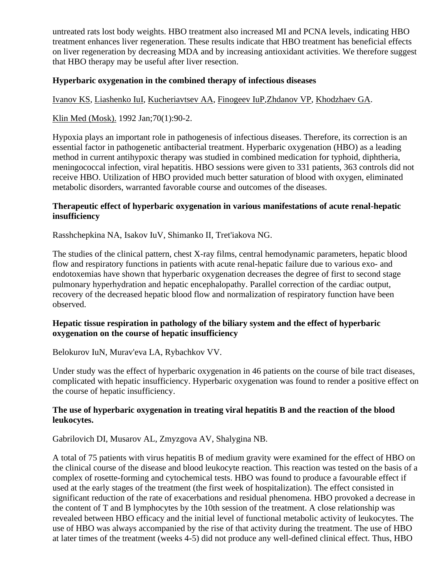untreated rats lost body weights. HBO treatment also increased MI and PCNA levels, indicating HBO treatment enhances liver regeneration. These results indicate that HBO treatment has beneficial effects on liver regeneration by decreasing MDA and by increasing antioxidant activities. We therefore suggest that HBO therapy may be useful after liver resection.

#### **Hyperbaric oxygenation in the combined therapy of infectious diseases**

[Ivanov KS,](http://www.ncbi.nlm.nih.gov/entrez/query.fcgi?db=pubmed&cmd=Search&itool=pubmed_AbstractPlus&term=%22Ivanov+KS%22%5BAuthor%5D) [Liashenko IuI,](http://www.ncbi.nlm.nih.gov/entrez/query.fcgi?db=pubmed&cmd=Search&itool=pubmed_AbstractPlus&term=%22Liashenko+IuI%22%5BAuthor%5D) [Kucheriavtsev AA,](http://www.ncbi.nlm.nih.gov/entrez/query.fcgi?db=pubmed&cmd=Search&itool=pubmed_AbstractPlus&term=%22Kucheriavtsev+AA%22%5BAuthor%5D) [Finogeev IuP](http://www.ncbi.nlm.nih.gov/entrez/query.fcgi?db=pubmed&cmd=Search&itool=pubmed_AbstractPlus&term=%22Finogeev+IuP%22%5BAuthor%5D)[,Zhdanov VP,](http://www.ncbi.nlm.nih.gov/entrez/query.fcgi?db=pubmed&cmd=Search&itool=pubmed_AbstractPlus&term=%22Zhdanov+VP%22%5BAuthor%5D) [Khodzhaev GA.](http://www.ncbi.nlm.nih.gov/entrez/query.fcgi?db=pubmed&cmd=Search&itool=pubmed_AbstractPlus&term=%22Khodzhaev+GA%22%5BAuthor%5D)

[Klin Med \(Mosk\).](javascript:AL_get(this,%20) 1992 Jan;70(1):90-2.

Hypoxia plays an important role in pathogenesis of infectious diseases. Therefore, its correction is an essential factor in pathogenetic antibacterial treatment. Hyperbaric oxygenation (HBO) as a leading method in current antihypoxic therapy was studied in combined medication for typhoid, diphtheria, meningococcal infection, viral hepatitis. HBO sessions were given to 331 patients, 363 controls did not receive HBO. Utilization of HBO provided much better saturation of blood with oxygen, eliminated metabolic disorders, warranted favorable course and outcomes of the diseases.

### **Therapeutic effect of hyperbaric oxygenation in various manifestations of acute renal-hepatic insufficiency**

Rasshchepkina NA, Isakov IuV, Shimanko II, Tret'iakova NG.

The studies of the clinical pattern, chest X-ray films, central hemodynamic parameters, hepatic blood flow and respiratory functions in patients with acute renal-hepatic failure due to various exo- and endotoxemias have shown that hyperbaric oxygenation decreases the degree of first to second stage pulmonary hyperhydration and hepatic encephalopathy. Parallel correction of the cardiac output, recovery of the decreased hepatic blood flow and normalization of respiratory function have been observed.

### **Hepatic tissue respiration in pathology of the biliary system and the effect of hyperbaric oxygenation on the course of hepatic insufficiency**

Belokurov IuN, Murav'eva LA, Rybachkov VV.

Under study was the effect of hyperbaric oxygenation in 46 patients on the course of bile tract diseases, complicated with hepatic insufficiency. Hyperbaric oxygenation was found to render a positive effect on the course of hepatic insufficiency.

# **The use of hyperbaric oxygenation in treating viral hepatitis B and the reaction of the blood leukocytes.**

Gabrilovich DI, Musarov AL, Zmyzgova AV, Shalygina NB.

A total of 75 patients with virus hepatitis B of medium gravity were examined for the effect of HBO on the clinical course of the disease and blood leukocyte reaction. This reaction was tested on the basis of a complex of rosette-forming and cytochemical tests. HBO was found to produce a favourable effect if used at the early stages of the treatment (the first week of hospitalization). The effect consisted in significant reduction of the rate of exacerbations and residual phenomena. HBO provoked a decrease in the content of T and B lymphocytes by the 10th session of the treatment. A close relationship was revealed between HBO efficacy and the initial level of functional metabolic activity of leukocytes. The use of HBO was always accompanied by the rise of that activity during the treatment. The use of HBO at later times of the treatment (weeks 4-5) did not produce any well-defined clinical effect. Thus, HBO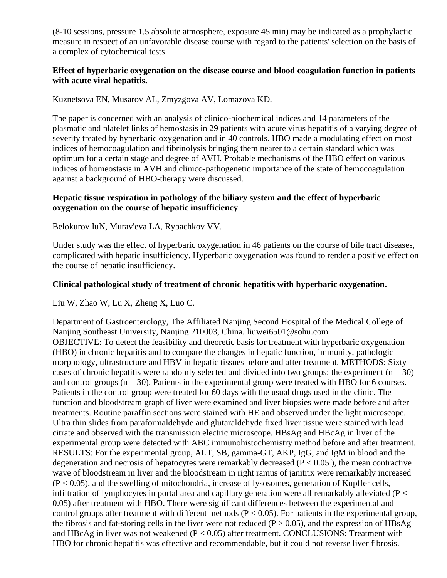(8-10 sessions, pressure 1.5 absolute atmosphere, exposure 45 min) may be indicated as a prophylactic measure in respect of an unfavorable disease course with regard to the patients' selection on the basis of a complex of cytochemical tests.

# **Effect of hyperbaric oxygenation on the disease course and blood coagulation function in patients with acute viral hepatitis.**

Kuznetsova EN, Musarov AL, Zmyzgova AV, Lomazova KD.

The paper is concerned with an analysis of clinico-biochemical indices and 14 parameters of the plasmatic and platelet links of hemostasis in 29 patients with acute virus hepatitis of a varying degree of severity treated by hyperbaric oxygenation and in 40 controls. HBO made a modulating effect on most indices of hemocoagulation and fibrinolysis bringing them nearer to a certain standard which was optimum for a certain stage and degree of AVH. Probable mechanisms of the HBO effect on various indices of homeostasis in AVH and clinico-pathogenetic importance of the state of hemocoagulation against a background of HBO-therapy were discussed.

# **Hepatic tissue respiration in pathology of the biliary system and the effect of hyperbaric oxygenation on the course of hepatic insufficiency**

Belokurov IuN, Murav'eva LA, Rybachkov VV.

Under study was the effect of hyperbaric oxygenation in 46 patients on the course of bile tract diseases, complicated with hepatic insufficiency. Hyperbaric oxygenation was found to render a positive effect on the course of hepatic insufficiency.

### **Clinical pathological study of treatment of chronic hepatitis with hyperbaric oxygenation.**

Liu W, Zhao W, Lu X, Zheng X, Luo C.

Department of Gastroenterology, The Affiliated Nanjing Second Hospital of the Medical College of Nanjing Southeast University, Nanjing 210003, China. liuwei6501@sohu.com OBJECTIVE: To detect the feasibility and theoretic basis for treatment with hyperbaric oxygenation (HBO) in chronic hepatitis and to compare the changes in hepatic function, immunity, pathologic morphology, ultrastructure and HBV in hepatic tissues before and after treatment. METHODS: Sixty cases of chronic hepatitis were randomly selected and divided into two groups: the experiment ( $n = 30$ ) and control groups  $(n = 30)$ . Patients in the experimental group were treated with HBO for 6 courses. Patients in the control group were treated for 60 days with the usual drugs used in the clinic. The function and bloodstream graph of liver were examined and liver biopsies were made before and after treatments. Routine paraffin sections were stained with HE and observed under the light microscope. Ultra thin slides from paraformaldehyde and glutaraldehyde fixed liver tissue were stained with lead citrate and observed with the transmission electric microscope. HBsAg and HBcAg in liver of the experimental group were detected with ABC immunohistochemistry method before and after treatment. RESULTS: For the experimental group, ALT, SB, gamma-GT, AKP, IgG, and IgM in blood and the degeneration and necrosis of hepatocytes were remarkably decreased ( $P < 0.05$ ), the mean contractive wave of bloodstream in liver and the bloodstream in right ramus of janitrix were remarkably increased  $(P < 0.05)$ , and the swelling of mitochondria, increase of lysosomes, generation of Kupffer cells, infiltration of lymphocytes in portal area and capillary generation were all remarkably alleviated (P < 0.05) after treatment with HBO. There were significant differences between the experimental and control groups after treatment with different methods ( $P < 0.05$ ). For patients in the experimental group, the fibrosis and fat-storing cells in the liver were not reduced ( $P > 0.05$ ), and the expression of HBsAg and HBcAg in liver was not weakened  $(P < 0.05)$  after treatment. CONCLUSIONS: Treatment with HBO for chronic hepatitis was effective and recommendable, but it could not reverse liver fibrosis.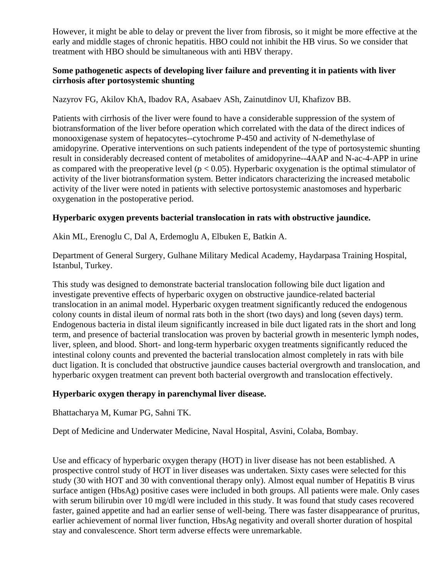However, it might be able to delay or prevent the liver from fibrosis, so it might be more effective at the early and middle stages of chronic hepatitis. HBO could not inhibit the HB virus. So we consider that treatment with HBO should be simultaneous with anti HBV therapy.

# **Some pathogenetic aspects of developing liver failure and preventing it in patients with liver cirrhosis after portosystemic shunting**

Nazyrov FG, Akilov KhA, Ibadov RA, Asabaev ASh, Zainutdinov UI, Khafizov BB.

Patients with cirrhosis of the liver were found to have a considerable suppression of the system of biotransformation of the liver before operation which correlated with the data of the direct indices of monooxigenase system of hepatocytes--cytochrome P-450 and activity of N-demethylase of amidopyrine. Operative interventions on such patients independent of the type of portosystemic shunting result in considerably decreased content of metabolites of amidopyrine--4AAP and N-ac-4-APP in urine as compared with the preoperative level ( $p < 0.05$ ). Hyperbaric oxygenation is the optimal stimulator of activity of the liver biotransformation system. Better indicators characterizing the increased metabolic activity of the liver were noted in patients with selective portosystemic anastomoses and hyperbaric oxygenation in the postoperative period.

# **Hyperbaric oxygen prevents bacterial translocation in rats with obstructive jaundice.**

Akin ML, Erenoglu C, Dal A, Erdemoglu A, Elbuken E, Batkin A.

Department of General Surgery, Gulhane Military Medical Academy, Haydarpasa Training Hospital, Istanbul, Turkey.

This study was designed to demonstrate bacterial translocation following bile duct ligation and investigate preventive effects of hyperbaric oxygen on obstructive jaundice-related bacterial translocation in an animal model. Hyperbaric oxygen treatment significantly reduced the endogenous colony counts in distal ileum of normal rats both in the short (two days) and long (seven days) term. Endogenous bacteria in distal ileum significantly increased in bile duct ligated rats in the short and long term, and presence of bacterial translocation was proven by bacterial growth in mesenteric lymph nodes, liver, spleen, and blood. Short- and long-term hyperbaric oxygen treatments significantly reduced the intestinal colony counts and prevented the bacterial translocation almost completely in rats with bile duct ligation. It is concluded that obstructive jaundice causes bacterial overgrowth and translocation, and hyperbaric oxygen treatment can prevent both bacterial overgrowth and translocation effectively.

# **Hyperbaric oxygen therapy in parenchymal liver disease.**

Bhattacharya M, Kumar PG, Sahni TK.

Dept of Medicine and Underwater Medicine, Naval Hospital, Asvini, Colaba, Bombay.

Use and efficacy of hyperbaric oxygen therapy (HOT) in liver disease has not been established. A prospective control study of HOT in liver diseases was undertaken. Sixty cases were selected for this study (30 with HOT and 30 with conventional therapy only). Almost equal number of Hepatitis B virus surface antigen (HbsAg) positive cases were included in both groups. All patients were male. Only cases with serum bilirubin over 10 mg/dl were included in this study. It was found that study cases recovered faster, gained appetite and had an earlier sense of well-being. There was faster disappearance of pruritus, earlier achievement of normal liver function, HbsAg negativity and overall shorter duration of hospital stay and convalescence. Short term adverse effects were unremarkable.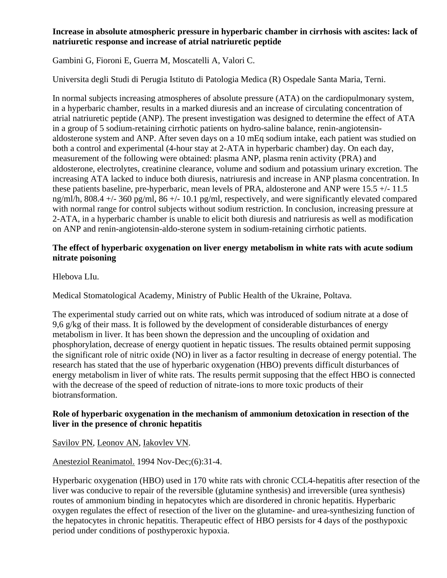# **Increase in absolute atmospheric pressure in hyperbaric chamber in cirrhosis with ascites: lack of natriuretic response and increase of atrial natriuretic peptide**

Gambini G, Fioroni E, Guerra M, Moscatelli A, Valori C.

Universita degli Studi di Perugia Istituto di Patologia Medica (R) Ospedale Santa Maria, Terni.

In normal subjects increasing atmospheres of absolute pressure (ATA) on the cardiopulmonary system, in a hyperbaric chamber, results in a marked diuresis and an increase of circulating concentration of atrial natriuretic peptide (ANP). The present investigation was designed to determine the effect of ATA in a group of 5 sodium-retaining cirrhotic patients on hydro-saline balance, renin-angiotensinaldosterone system and ANP. After seven days on a 10 mEq sodium intake, each patient was studied on both a control and experimental (4-hour stay at 2-ATA in hyperbaric chamber) day. On each day, measurement of the following were obtained: plasma ANP, plasma renin activity (PRA) and aldosterone, electrolytes, creatinine clearance, volume and sodium and potassium urinary excretion. The increasing ATA lacked to induce both diuresis, natriuresis and increase in ANP plasma concentration. In these patients baseline, pre-hyperbaric, mean levels of PRA, aldosterone and ANP were 15.5 +/- 11.5 ng/ml/h, 808.4 +/- 360 pg/ml, 86 +/- 10.1 pg/ml, respectively, and were significantly elevated compared with normal range for control subjects without sodium restriction. In conclusion, increasing pressure at 2-ATA, in a hyperbaric chamber is unable to elicit both diuresis and natriuresis as well as modification on ANP and renin-angiotensin-aldo-sterone system in sodium-retaining cirrhotic patients.

# **The effect of hyperbaric oxygenation on liver energy metabolism in white rats with acute sodium nitrate poisoning**

Hlebova LIu.

Medical Stomatological Academy, Ministry of Public Health of the Ukraine, Poltava.

The experimental study carried out on white rats, which was introduced of sodium nitrate at a dose of 9,6 g/kg of their mass. It is followed by the development of considerable disturbances of energy metabolism in liver. It has been shown the depression and the uncoupling of oxidation and phosphorylation, decrease of energy quotient in hepatic tissues. The results obtained permit supposing the significant role of nitric oxide (NO) in liver as a factor resulting in decrease of energy potential. The research has stated that the use of hyperbaric oxygenation (HBO) prevents difficult disturbances of energy metabolism in liver of white rats. The results permit supposing that the effect HBO is connected with the decrease of the speed of reduction of nitrate-ions to more toxic products of their biotransformation.

# **Role of hyperbaric oxygenation in the mechanism of ammonium detoxication in resection of the liver in the presence of chronic hepatitis**

[Savilov PN,](http://www.ncbi.nlm.nih.gov/entrez/query.fcgi?db=pubmed&cmd=Search&itool=pubmed_AbstractPlus&term=%22Savilov+PN%22%5BAuthor%5D) [Leonov AN,](http://www.ncbi.nlm.nih.gov/entrez/query.fcgi?db=pubmed&cmd=Search&itool=pubmed_AbstractPlus&term=%22Leonov+AN%22%5BAuthor%5D) [Iakovlev VN.](http://www.ncbi.nlm.nih.gov/entrez/query.fcgi?db=pubmed&cmd=Search&itool=pubmed_AbstractPlus&term=%22Iakovlev+VN%22%5BAuthor%5D)

# [Anesteziol Reanimatol.](javascript:AL_get(this,%20) 1994 Nov-Dec;(6):31-4.

Hyperbaric oxygenation (HBO) used in 170 white rats with chronic CCL4-hepatitis after resection of the liver was conducive to repair of the reversible (glutamine synthesis) and irreversible (urea synthesis) routes of ammonium binding in hepatocytes which are disordered in chronic hepatitis. Hyperbaric oxygen regulates the effect of resection of the liver on the glutamine- and urea-synthesizing function of the hepatocytes in chronic hepatitis. Therapeutic effect of HBO persists for 4 days of the posthypoxic period under conditions of posthyperoxic hypoxia.